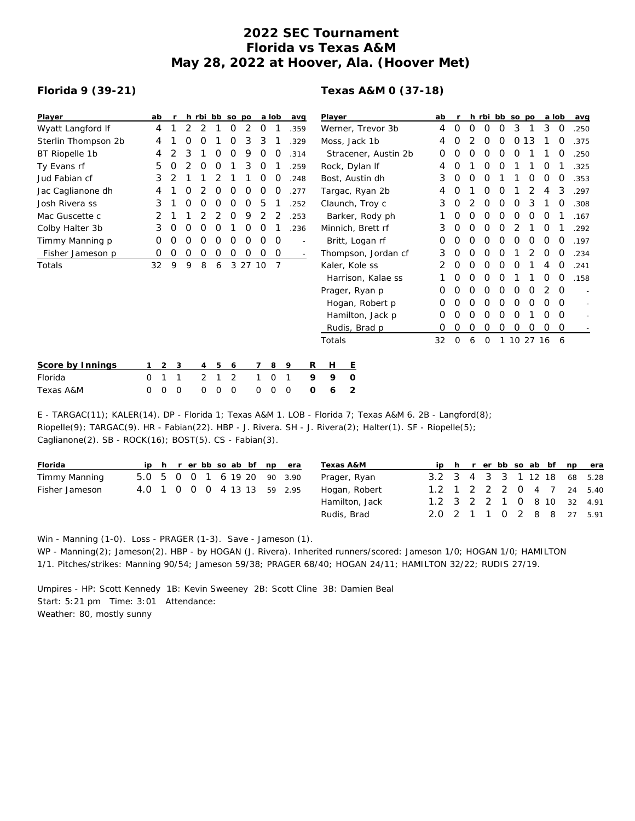## **2022 SEC Tournament Florida vs Texas A&M May 28, 2022 at Hoover, Ala. (Hoover Met)**

## **Florida 9 (39-21)**

## **Texas A&M 0 (37-18)**

| Player               | ab |   |   |   |   | h rbi bb so po |       |   | a lob          | avg  |      | Player        |  |                      | ab |          |   |   | h rbi bb so po |    |          | a lob |          | avg  |
|----------------------|----|---|---|---|---|----------------|-------|---|----------------|------|------|---------------|--|----------------------|----|----------|---|---|----------------|----|----------|-------|----------|------|
| Wyatt Langford If    | 4  |   | 2 | 2 |   | O              | 2     | 0 |                |      | .359 |               |  | Werner, Trevor 3b    | 4  | O        | 0 | O | O              | 3  |          | 3     | 0        | .250 |
| Sterlin Thompson 2b  | 4  |   | O | 0 |   | O              | 3     | 3 |                |      | 329  | Moss, Jack 1b |  | 4                    | Ο  |          | O | O | 0              | 13 |          | O     | .375     |      |
| BT Riopelle 1b       | 4  |   | 3 |   |   | Ο              | 9     | O |                | .314 |      |               |  | Stracener, Austin 2b | 0  | 0        |   |   |                | Ο  |          |       |          | .250 |
| Ty Evans rf          | 5  | O |   |   |   |                | 3     | O |                |      | 259  |               |  | Rock, Dylan If       | 4  |          |   | Ο | O              |    |          | O     |          | .325 |
| Jud Fabian cf        | 3  |   |   |   |   |                |       | O | 0              |      | 248  |               |  | Bost, Austin dh      | 3  | O        | O | Ο |                |    | O        | Ο     | O        | .353 |
| Jac Caglianone dh    | 4  |   | Ο |   | 0 | Ο              | Ο     | O |                | .277 |      |               |  | Targac, Ryan 2b      | 4  | O        |   | 0 | Ο              |    |          |       | 3        | .297 |
| Josh Rivera ss       | 3  |   | Ω |   |   | Ο              | Ο     | 5 |                |      | 252  |               |  | Claunch, Troy c      | 3  | O        |   | Ο | Ο              | 0  | 3        |       | 0        | .308 |
| Mac Guscette c       | 2  |   |   |   |   | O              | 9     | 2 |                |      | .253 |               |  | Barker, Rody ph      |    | O        | Ο | Ο | O              | O  | O        | O     |          | .167 |
| Colby Halter 3b      | 3  | O | Ω | Ω | Ω |                | Ο     | O |                |      | .236 |               |  | Minnich, Brett rf    | 3  | Ο        | ი | Ο | Ω              |    |          | Ο     |          | .292 |
| Timmy Manning p      | 0  | Ο | Ο | Ο | O | Ω              | Ο     | O | 0              |      |      |               |  | Britt, Logan rf      | O  | Ο        | Ο | Ο | Ο              | Ο  | Ο        | Ο     | O        | .197 |
| Fisher Jameson p     | 0  | O | O | O | 0 | 0              | 0     | 0 | 0              |      |      |               |  | Thompson, Jordan cf  | 3  | 0        | 0 | 0 | O              |    |          | Ο     | O        | .234 |
| Totals               | 32 | 9 | 9 | 8 | 6 | 3              | 27 10 |   | $\overline{7}$ |      |      |               |  | Kaler, Kole ss       |    | Ο        | ი | Ο | Ο              | Ο  |          |       | O        | .241 |
|                      |    |   |   |   |   |                |       |   |                |      |      |               |  | Harrison, Kalae ss   |    | 0        | 0 | 0 | Ο              |    |          | Ο     | O        | .158 |
|                      |    |   |   |   |   |                |       |   |                |      |      |               |  | Prager, Ryan p       | 0  | 0        | O | 0 | 0              | O  | O        |       | O        |      |
|                      |    |   |   |   |   |                |       |   |                |      |      |               |  | Hogan, Robert p      | 0  |          | Ο | Ο |                | 0  | 0        | Ο     | O        |      |
|                      |    |   |   |   |   |                |       |   |                |      |      |               |  | Hamilton, Jack p     | 0  | Ο        | Ο | Ο | O              | Ο  |          | Ο     | $\Omega$ |      |
|                      |    |   |   |   |   |                |       |   |                |      |      |               |  | Rudis, Brad p        | 0  | 0        | 0 | 0 | 0              | 0  | 0        | 0     | 0        |      |
|                      |    |   |   |   |   |                |       |   |                |      |      | Totals        |  |                      | 32 | $\Omega$ | 6 | O |                |    | 10 27 16 |       | -6       |      |
| Score by Innings     | 1  | 2 | 3 | 4 | 5 | 6              |       | 7 | 8              | 9    | R    | Н             |  | Е                    |    |          |   |   |                |    |          |       |          |      |
| Florida              | 0  | 1 | 1 | 2 |   | $\overline{2}$ |       |   | 0              | -1   | 9    | 9             |  | $\circ$              |    |          |   |   |                |    |          |       |          |      |
| <b>Texas A&amp;M</b> | 0  | 0 | 0 | 0 | Ω | $\mathcal{O}$  |       | Ω | O              | O    | O    | 6             |  | 2                    |    |          |   |   |                |    |          |       |          |      |

E - TARGAC(11); KALER(14). DP - Florida 1; Texas A&M 1. LOB - Florida 7; Texas A&M 6. 2B - Langford(8); Riopelle(9); TARGAC(9). HR - Fabian(22). HBP - J. Rivera. SH - J. Rivera(2); Halter(1). SF - Riopelle(5); Caglianone(2). SB - ROCK(16); BOST(5). CS - Fabian(3).

| Florida        |  |  |  |  | ip h r er bb so ab bf np era | Texas A&M      |                             |  |  |  |  | ip h r er bb so ab bf np era |
|----------------|--|--|--|--|------------------------------|----------------|-----------------------------|--|--|--|--|------------------------------|
| Timmy Manning  |  |  |  |  | 5.0 5 0 0 1 6 19 20 90 3.90  | Prager, Ryan   | 3.2 3 4 3 3 1 12 18 68 5.28 |  |  |  |  |                              |
| Fisher Jameson |  |  |  |  | 4.0 1 0 0 0 4 13 13 59 2.95  | Hogan, Robert  | 1.2 1 2 2 2 0 4 7 24 5.40   |  |  |  |  |                              |
|                |  |  |  |  |                              | Hamilton, Jack | 1.2 3 2 2 1 0 8 10 32 4.91  |  |  |  |  |                              |
|                |  |  |  |  |                              | Rudis, Brad    | 2.0 2 1 1 0 2 8 8 27 5.91   |  |  |  |  |                              |

Win - Manning (1-0). Loss - PRAGER (1-3). Save - Jameson (1). WP - Manning(2); Jameson(2). HBP - by HOGAN (J. Rivera). Inherited runners/scored: Jameson 1/0; HOGAN 1/0; HAMILTON

1/1. Pitches/strikes: Manning 90/54; Jameson 59/38; PRAGER 68/40; HOGAN 24/11; HAMILTON 32/22; RUDIS 27/19. Umpires - HP: Scott Kennedy 1B: Kevin Sweeney 2B: Scott Cline 3B: Damien Beal

Start: 5:21 pm Time: 3:01 Attendance:

Weather: 80, mostly sunny